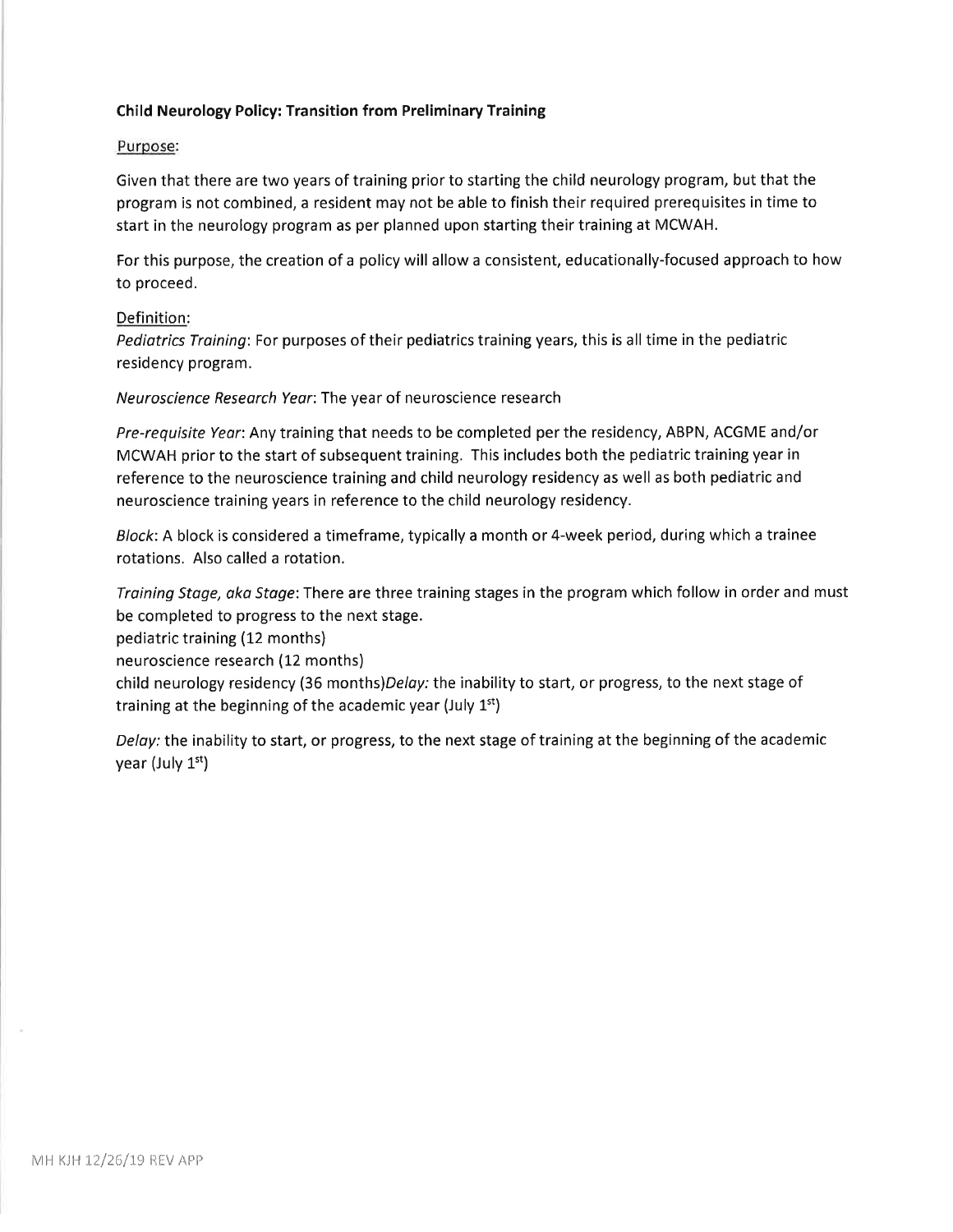### Child Neurology Policy: Transition from Preliminary Training

#### Purpose:

Given that there are two years of training prior to starting the child neurology program, but that the program is not combined, a resident may not be able to finish their required prerequisites in time to start in the neurology program as per planned upon starting their training at MCWAH.

For this purpose, the creation of a policy will allow a consistent, educationally-focused approach to how to proceed.

#### Definition:

Pediatrics Training: For purposes of their pediatrics training years, this is all time in the pediatric residency program.

Neuroscience Research Year:The year of neuroscience research

Pre-requisite Yeor: Any training that needs to be completed per the residency, ABPN, ACGME and/or MCWAH prior to the start of subsequent training. This includes both the pediatric training year in reference to the neuroscience training and child neurology residency as well as both pediatric and neuroscience training years in reference to the child neurology residency.

Block: A block is considered a timeframe, typically a month or 4-week period, during which a trainee rotations. Also called a rotation,

Training Stoge, oko Stage: There are three training stages in the program which follow in order and must be completed to progress to the next stage.

pediatric training (12 months)

neuroscience research (12 months)

child neurology residency (36 months)Delay: the inability to start, or progress, to the next stage of training at the beginning of the academic year (July  $1<sup>st</sup>$ )

Delay: the inability to start, or progress, to the next stage of training at the beginning of the academic year (July 1<sup>st</sup>)